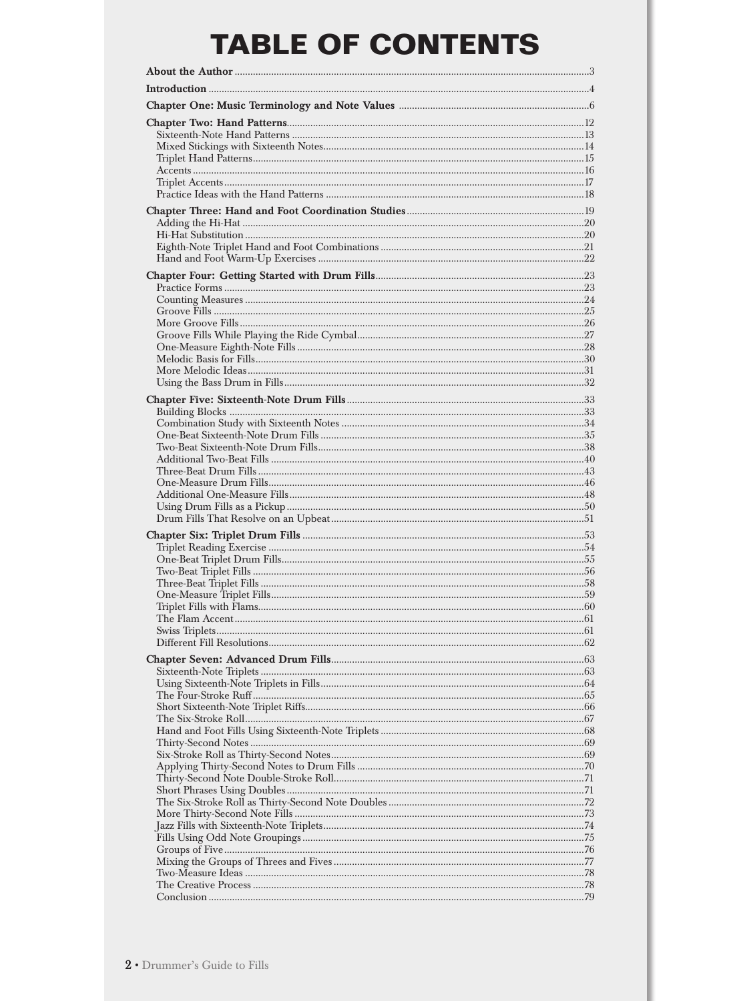## **TABLE OF CONTENTS**

| 58 |
|----|
|    |
|    |
|    |
|    |
|    |
|    |
|    |
|    |
|    |
|    |
|    |
|    |
|    |
|    |
|    |
|    |
|    |
|    |
|    |
|    |
|    |
|    |